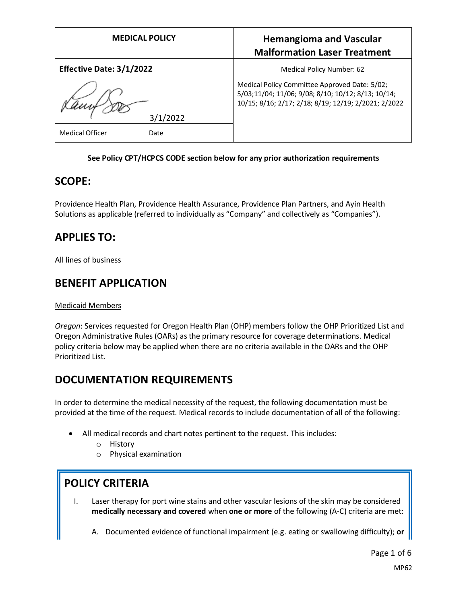| <b>MEDICAL POLICY</b>           | <b>Hemangioma and Vascular</b><br><b>Malformation Laser Treatment</b>                                                                                       |
|---------------------------------|-------------------------------------------------------------------------------------------------------------------------------------------------------------|
| <b>Effective Date: 3/1/2022</b> | Medical Policy Number: 62                                                                                                                                   |
| 3/1/2022                        | Medical Policy Committee Approved Date: 5/02;<br>5/03;11/04; 11/06; 9/08; 8/10; 10/12; 8/13; 10/14;<br>10/15; 8/16; 2/17; 2/18; 8/19; 12/19; 2/2021; 2/2022 |
| <b>Medical Officer</b><br>Date  |                                                                                                                                                             |

#### **See Policy CPT/HCPCS CODE section below for any prior authorization requirements**

### **SCOPE:**

Providence Health Plan, Providence Health Assurance, Providence Plan Partners, and Ayin Health Solutions as applicable (referred to individually as "Company" and collectively as "Companies").

## **APPLIES TO:**

All lines of business

### **BENEFIT APPLICATION**

#### Medicaid Members

*Oregon*: Services requested for Oregon Health Plan (OHP) members follow the OHP Prioritized List and Oregon Administrative Rules (OARs) as the primary resource for coverage determinations. Medical policy criteria below may be applied when there are no criteria available in the OARs and the OHP Prioritized List.

### **DOCUMENTATION REQUIREMENTS**

In order to determine the medical necessity of the request, the following documentation must be provided at the time of the request. Medical records to include documentation of all of the following:

- All medical records and chart notes pertinent to the request. This includes:
	- o History
	- o Physical examination

# **POLICY CRITERIA**

- I. Laser therapy for port wine stains and other vascular lesions of the skin may be considered **medically necessary and covered** when **one or more** of the following (A-C) criteria are met:
	- A. Documented evidence of functional impairment (e.g. eating or swallowing difficulty); **or**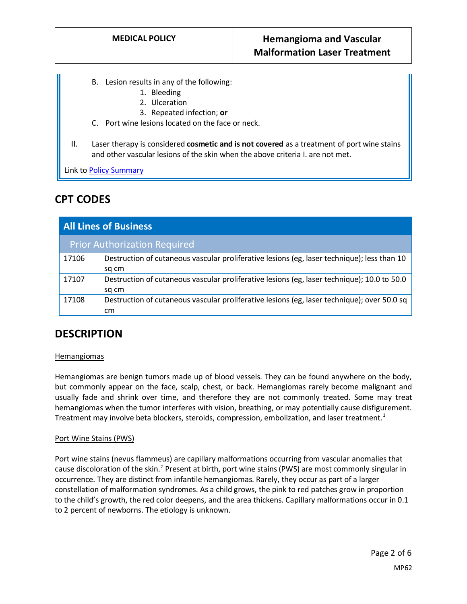- B. Lesion results in any of the following:
	- 1. Bleeding
	- 2. Ulceration
	- 3. Repeated infection; **or**
- C. Port wine lesions located on the face or neck.
- II. Laser therapy is considered **cosmetic and is not covered** as a treatment of port wine stains and other vascular lesions of the skin when the above criteria I. are not met.

Link t[o Policy Summary](#page-4-0)

## **CPT CODES**

| <b>All Lines of Business</b>        |                                                                                                      |
|-------------------------------------|------------------------------------------------------------------------------------------------------|
| <b>Prior Authorization Required</b> |                                                                                                      |
| 17106                               | Destruction of cutaneous vascular proliferative lesions (eg, laser technique); less than 10<br>sg cm |
| 17107                               | Destruction of cutaneous vascular proliferative lesions (eg, laser technique); 10.0 to 50.0<br>sg cm |
| 17108                               | Destruction of cutaneous vascular proliferative lesions (eg, laser technique); over 50.0 sq<br>cm    |

### **DESCRIPTION**

#### **Hemangiomas**

Hemangiomas are benign tumors made up of blood vessels. They can be found anywhere on the body, but commonly appear on the face, scalp, chest, or back. Hemangiomas rarely become malignant and usually fade and shrink over time, and therefore they are not commonly treated. Some may treat hemangiomas when the tumor interferes with vision, breathing, or may potentially cause disfigurement. Treatment may involve beta blockers, steroids, compression, embolization, and laser treatment.<sup>1</sup>

#### Port Wine Stains (PWS)

Port wine stains (nevus flammeus) are capillary malformations occurring from vascular anomalies that cause discoloration of the skin.<sup>2</sup> Present at birth, port wine stains (PWS) are most commonly singular in occurrence. They are distinct from infantile hemangiomas. Rarely, they occur as part of a larger constellation of malformation syndromes. As a child grows, the pink to red patches grow in proportion to the child's growth, the red color deepens, and the area thickens. Capillary malformations occur in 0.1 to 2 percent of newborns. The etiology is unknown.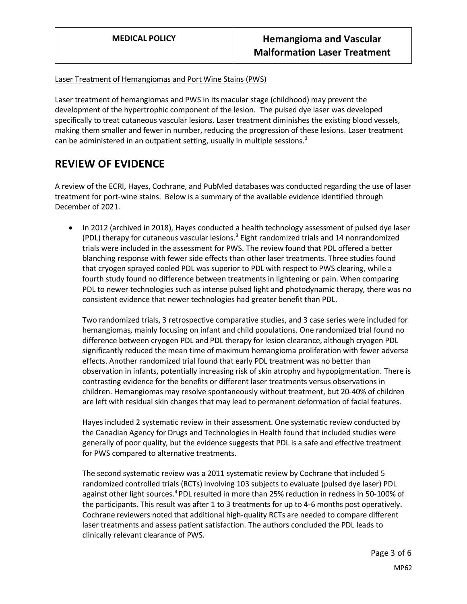#### Laser Treatment of Hemangiomas and Port Wine Stains (PWS)

Laser treatment of hemangiomas and PWS in its macular stage (childhood) may prevent the development of the hypertrophic component of the lesion. The pulsed dye laser was developed specifically to treat cutaneous vascular lesions. Laser treatment diminishes the existing blood vessels, making them smaller and fewer in number, reducing the progression of these lesions. Laser treatment can be administered in an outpatient setting, usually in multiple sessions.<sup>3</sup>

## **REVIEW OF EVIDENCE**

A review of the ECRI, Hayes, Cochrane, and PubMed databases was conducted regarding the use of laser treatment for port-wine stains. Below is a summary of the available evidence identified through December of 2021.

• In 2012 (archived in 2018), Hayes conducted a health technology assessment of pulsed dye laser (PDL) therapy for cutaneous vascular lesions. $3$  Eight randomized trials and 14 nonrandomized trials were included in the assessment for PWS. The review found that PDL offered a better blanching response with fewer side effects than other laser treatments. Three studies found that cryogen sprayed cooled PDL was superior to PDL with respect to PWS clearing, while a fourth study found no difference between treatments in lightening or pain. When comparing PDL to newer technologies such as intense pulsed light and photodynamic therapy, there was no consistent evidence that newer technologies had greater benefit than PDL.

Two randomized trials, 3 retrospective comparative studies, and 3 case series were included for hemangiomas, mainly focusing on infant and child populations. One randomized trial found no difference between cryogen PDL and PDL therapy for lesion clearance, although cryogen PDL significantly reduced the mean time of maximum hemangioma proliferation with fewer adverse effects. Another randomized trial found that early PDL treatment was no better than observation in infants, potentially increasing risk of skin atrophy and hypopigmentation. There is contrasting evidence for the benefits or different laser treatments versus observations in children. Hemangiomas may resolve spontaneously without treatment, but 20-40% of children are left with residual skin changes that may lead to permanent deformation of facial features.

Hayes included 2 systematic review in their assessment. One systematic review conducted by the Canadian Agency for Drugs and Technologies in Health found that included studies were generally of poor quality, but the evidence suggests that PDL is a safe and effective treatment for PWS compared to alternative treatments.

The second systematic review was a 2011 systematic review by Cochrane that included 5 randomized controlled trials (RCTs) involving 103 subjects to evaluate (pulsed dye laser) PDL against other light sources.<sup>4</sup> PDL resulted in more than 25% reduction in redness in 50-100% of the participants. This result was after 1 to 3 treatments for up to 4-6 months post operatively. Cochrane reviewers noted that additional high-quality RCTs are needed to compare different laser treatments and assess patient satisfaction. The authors concluded the PDL leads to clinically relevant clearance of PWS.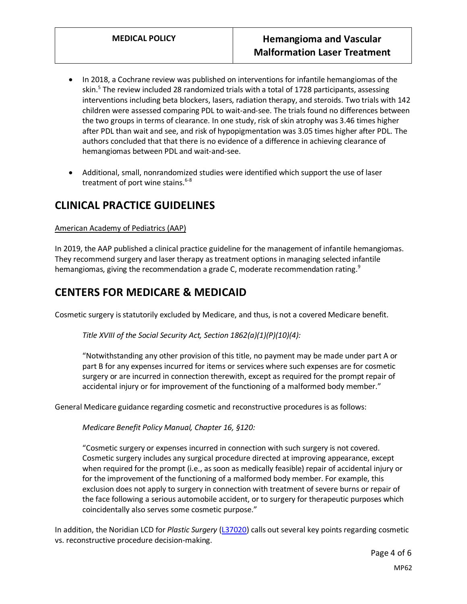- In 2018, a Cochrane review was published on interventions for infantile hemangiomas of the skin.<sup>5</sup> The review included 28 randomized trials with a total of 1728 participants, assessing interventions including beta blockers, lasers, radiation therapy, and steroids. Two trials with 142 children were assessed comparing PDL to wait-and-see. The trials found no differences between the two groups in terms of clearance. In one study, risk of skin atrophy was 3.46 times higher after PDL than wait and see, and risk of hypopigmentation was 3.05 times higher after PDL. The authors concluded that that there is no evidence of a difference in achieving clearance of hemangiomas between PDL and wait-and-see.
- Additional, small, nonrandomized studies were identified which support the use of laser treatment of port wine stains. $6-8$

## **CLINICAL PRACTICE GUIDELINES**

#### American Academy of Pediatrics (AAP)

In 2019, the AAP published a clinical practice guideline for the management of infantile hemangiomas. They recommend surgery and laser therapy as treatment options in managing selected infantile hemangiomas, giving the recommendation a grade C, moderate recommendation rating.<sup>9</sup>

## **CENTERS FOR MEDICARE & MEDICAID**

Cosmetic surgery is statutorily excluded by Medicare, and thus, is not a covered Medicare benefit.

*Title XVIII of the Social Security Act, Section 1862(a)(1)(P)(10)(4):*

"Notwithstanding any other provision of this title, no payment may be made under part A or part B for any expenses incurred for items or services where such expenses are for cosmetic surgery or are incurred in connection therewith, except as required for the prompt repair of accidental injury or for improvement of the functioning of a malformed body member."

General Medicare guidance regarding cosmetic and reconstructive procedures is as follows:

*Medicare Benefit Policy Manual, Chapter 16, §120:*

"Cosmetic surgery or expenses incurred in connection with such surgery is not covered. Cosmetic surgery includes any surgical procedure directed at improving appearance, except when required for the prompt (i.e., as soon as medically feasible) repair of accidental injury or for the improvement of the functioning of a malformed body member. For example, this exclusion does not apply to surgery in connection with treatment of severe burns or repair of the face following a serious automobile accident, or to surgery for therapeutic purposes which coincidentally also serves some cosmetic purpose."

In addition, the Noridian LCD for *Plastic Surgery* [\(L37020\)](https://nam11.safelinks.protection.outlook.com/?url=https%3A%2F%2Fwww.cms.gov%2Fmedicare-coverage-database%2Fview%2Flcd.aspx%3Flcdid%3D37020&data=04%7C01%7CJennifer.Gill%40providence.org%7C742f96bc5912427071fd08d9d163e631%7C2e3190869a2646a3865f615bed576786%7C0%7C0%7C637771049257463470%7CUnknown%7CTWFpbGZsb3d8eyJWIjoiMC4wLjAwMDAiLCJQIjoiV2luMzIiLCJBTiI6Ik1haWwiLCJXVCI6Mn0%3D%7C3000&sdata=V%2FzQDljuGR8dOqQg%2BEKckKVX%2Bw25aeD1bP4WuvT9jh4%3D&reserved=0) calls out several key points regarding cosmetic vs. reconstructive procedure decision-making.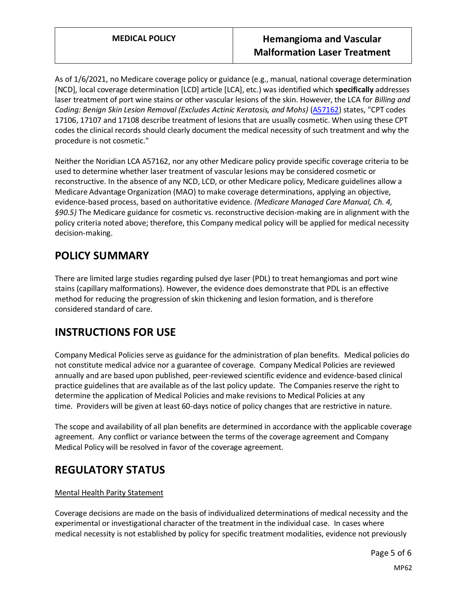As of 1/6/2021, no Medicare coverage policy or guidance (e.g., manual, national coverage determination [NCD], local coverage determination [LCD] article [LCA], etc.) was identified which **specifically** addresses laser treatment of port wine stains or other vascular lesions of the skin. However, the LCA for *Billing and Coding: Benign Skin Lesion Removal (Excludes Actinic Keratosis, and Mohs)* [\(A57162\)](https://nam11.safelinks.protection.outlook.com/?url=https%3A%2F%2Fwww.cms.gov%2Fmedicare-coverage-database%2Fview%2Farticle.aspx%3Farticleid%3D57162&data=04%7C01%7CJennifer.Gill%40providence.org%7C742f96bc5912427071fd08d9d163e631%7C2e3190869a2646a3865f615bed576786%7C0%7C0%7C637771049257463470%7CUnknown%7CTWFpbGZsb3d8eyJWIjoiMC4wLjAwMDAiLCJQIjoiV2luMzIiLCJBTiI6Ik1haWwiLCJXVCI6Mn0%3D%7C3000&sdata=R7tGS30reEVtAUwz0FptajbHpxdByz0GSp5XBIsaFuU%3D&reserved=0) states, "CPT codes 17106, 17107 and 17108 describe treatment of lesions that are usually cosmetic. When using these CPT codes the clinical records should clearly document the medical necessity of such treatment and why the procedure is not cosmetic."

Neither the Noridian LCA A57162, nor any other Medicare policy provide specific coverage criteria to be used to determine whether laser treatment of vascular lesions may be considered cosmetic or reconstructive. In the absence of any NCD, LCD, or other Medicare policy, Medicare guidelines allow a Medicare Advantage Organization (MAO) to make coverage determinations, applying an objective, evidence-based process, based on authoritative evidence. *(Medicare Managed Care Manual, Ch. 4, §90.5)* The Medicare guidance for cosmetic vs. reconstructive decision-making are in alignment with the policy criteria noted above; therefore, this Company medical policy will be applied for medical necessity decision-making.

## <span id="page-4-0"></span>**POLICY SUMMARY**

There are limited large studies regarding pulsed dye laser (PDL) to treat hemangiomas and port wine stains (capillary malformations). However, the evidence does demonstrate that PDL is an effective method for reducing the progression of skin thickening and lesion formation, and is therefore considered standard of care.

# **INSTRUCTIONS FOR USE**

Company Medical Policies serve as guidance for the administration of plan benefits. Medical policies do not constitute medical advice nor a guarantee of coverage. Company Medical Policies are reviewed annually and are based upon published, peer-reviewed scientific evidence and evidence-based clinical practice guidelines that are available as of the last policy update. The Companies reserve the right to determine the application of Medical Policies and make revisions to Medical Policies at any time. Providers will be given at least 60-days notice of policy changes that are restrictive in nature.

The scope and availability of all plan benefits are determined in accordance with the applicable coverage agreement. Any conflict or variance between the terms of the coverage agreement and Company Medical Policy will be resolved in favor of the coverage agreement.

# **REGULATORY STATUS**

#### Mental Health Parity Statement

Coverage decisions are made on the basis of individualized determinations of medical necessity and the experimental or investigational character of the treatment in the individual case. In cases where medical necessity is not established by policy for specific treatment modalities, evidence not previously